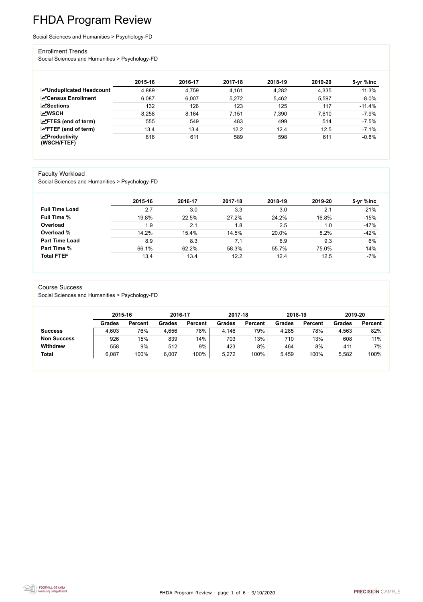FHDA Program Review - page 1 of 6 - 9/10/2020



# FHDA Program Review

Social Sciences and Humanities > Psychology-FD

#### Enrollment Trends

Social Sciences and Humanities > Psychology-FD

|                                                  | 2015-16 | 2016-17 | 2017-18 | 2018-19 | 2019-20 | 5-yr %lnc |
|--------------------------------------------------|---------|---------|---------|---------|---------|-----------|
| <b>ZUnduplicated Headcount</b>                   | 4,889   | 4,759   | 4,161   | 4,282   | 4,335   | $-11.3%$  |
| <b>∠</b> Census Enrollment                       | 6,087   | 6,007   | 5,272   | 5,462   | 5,597   | $-8.0\%$  |
| <b>ZSections</b>                                 | 132     | 126     | 123     | 125     | 117     | $-11.4%$  |
| <b>MWSCH</b>                                     | 8,258   | 8,164   | 7,151   | 7,390   | 7,610   | $-7.9%$   |
| $\angle$ FTES (end of term)                      | 555     | 549     | 483     | 499     | 514     | $-7.5%$   |
| $\angle$ FTEF (end of term)                      | 13.4    | 13.4    | 12.2    | 12.4    | 12.5    | $-7.1%$   |
| $\sqrt{\frac{1}{2}}$ Productivity<br>(WSCH/FTEF) | 616     | 611     | 589     | 598     | 611     | $-0.8%$   |

#### Faculty Workload

Social Sciences and Humanities > Psychology-FD

|                       | 2015-16 | 2016-17 | 2017-18 | 2018-19 | 2019-20 | 5-yr %lnc |
|-----------------------|---------|---------|---------|---------|---------|-----------|
| <b>Full Time Load</b> | 2.7     | 3.0     | 3.3     | 3.0     | 2.1     | $-21%$    |
| <b>Full Time %</b>    | 19.8%   | 22.5%   | 27.2%   | 24.2%   | 16.8%   | $-15%$    |
| Overload              | 1.9     | 2.1     | 1.8     | 2.5     | 1.0     | $-47%$    |
| Overload %            | 14.2%   | 15.4%   | 14.5%   | 20.0%   | 8.2%    | $-42%$    |
| <b>Part Time Load</b> | 8.9     | 8.3     | 7.1     | 6.9     | 9.3     | 6%        |
| <b>Part Time %</b>    | 66.1%   | 62.2%   | 58.3%   | 55.7%   | 75.0%   | 14%       |
| <b>Total FTEF</b>     | 13.4    | 13.4    | 12.2    | 12.4    | 12.5    | $-7%$     |

#### Course Success

Social Sciences and Humanities > Psychology-FD

|                    |               | 2015-16        |               | 2016-17        | 2017-18       |                | 2018-19       |                | 2019-20       |                |
|--------------------|---------------|----------------|---------------|----------------|---------------|----------------|---------------|----------------|---------------|----------------|
|                    | <b>Grades</b> | <b>Percent</b> | <b>Grades</b> | <b>Percent</b> | <b>Grades</b> | <b>Percent</b> | <b>Grades</b> | <b>Percent</b> | <b>Grades</b> | <b>Percent</b> |
| <b>Success</b>     | 4,603         | 76%            | 4,656         | 78%            | 4,146         | 79%            | 4,285         | 78%            | 4,563         | 82%            |
| <b>Non Success</b> | 926           | 15%            | 839           | 14%            | 703           | 13%            | 710           | 13%            | 608           | 11%            |
| <b>Withdrew</b>    | 558           | 9%             | 512           | 9%             | 423           | 8%             | 464           | 8%             | 411           | 7%             |
| <b>Total</b>       | 6,087         | 100%           | 6,007         | 100%           | 5,272         | 100%           | 5,459         | 100%           | 5,582         | 100%           |

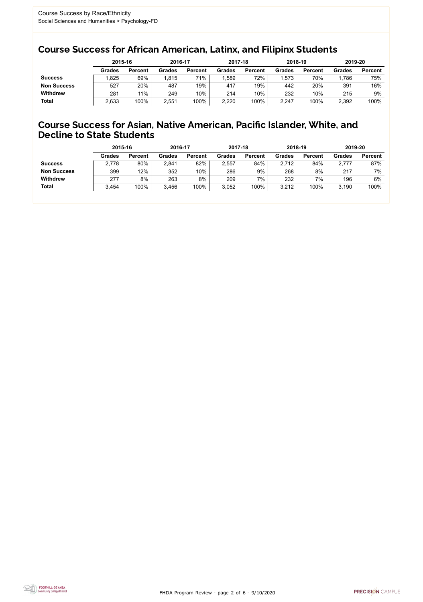FHDA Program Review - page 2 of 6 - 9/10/2020



### Course Success for African American, Latinx, and Filipinx Students

### Course Success for Asian, Native American, Pacific Islander, White, and Decline to State Students

|                    |               | 2015-16        |               | 2016-17        |               | 2017-18        |               | 2018-19        | 2019-20 |                |
|--------------------|---------------|----------------|---------------|----------------|---------------|----------------|---------------|----------------|---------|----------------|
|                    | <b>Grades</b> | <b>Percent</b> | <b>Grades</b> | <b>Percent</b> | <b>Grades</b> | <b>Percent</b> | <b>Grades</b> | <b>Percent</b> | Grades  | <b>Percent</b> |
| <b>Success</b>     | ,825          | 69%            | ,815          | 71%            | ,589          | 72%            | ,573          | 70%            | .786    | 75%            |
| <b>Non Success</b> | 527           | 20%            | 487           | 19%            | 417           | 19%            | 442           | 20%            | 391     | 16%            |
| <b>Withdrew</b>    | 281           | 11%            | 249           | 10%            | 214           | 10%            | 232           | 10%            | 215     | 9%             |
| <b>Total</b>       | 2,633         | 100%           | 2,551         | 100%           | 2,220         | 100%           | 2,247         | 100%           | 2,392   | 100%           |

|                    | 2015-16       |                | 2016-17       |                | 2017-18       |                | 2018-19       |                | 2019-20       |                |
|--------------------|---------------|----------------|---------------|----------------|---------------|----------------|---------------|----------------|---------------|----------------|
|                    | <b>Grades</b> | <b>Percent</b> | <b>Grades</b> | <b>Percent</b> | <b>Grades</b> | <b>Percent</b> | <b>Grades</b> | <b>Percent</b> | <b>Grades</b> | <b>Percent</b> |
| <b>Success</b>     | 2,778         | 80%            | 2,841         | 82%            | 2,557         | 84%            | 2,712         | 84%            | 2,777         | 87%            |
| <b>Non Success</b> | 399           | 12%            | 352           | $10\%$         | 286           | 9%             | 268           | 8%             | 217           | 7%             |
| <b>Withdrew</b>    | 277           | 8%             | 263           | 8%             | 209           | 7%             | 232           | 7%             | 196           | 6%             |
| <b>Total</b>       | 3,454         | 100%           | 3,456         | 100%           | 3,052         | 100%           | 3,212         | 100%           | 3,190         | 100%           |
|                    |               |                |               |                |               |                |               |                |               |                |

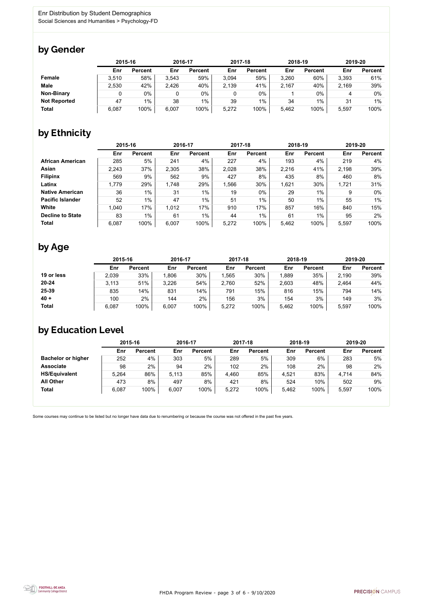FHDA Program Review - page 3 of 6 - 9/10/2020



Some courses may continue to be listed but no longer have data due to renumbering or because the course was not offered in the past five years.



## by Gender

|                     | 2015-16 |                |       | 2016-17        |       | 2017-18        |       | 2018-19        |       | 2019-20        |  |
|---------------------|---------|----------------|-------|----------------|-------|----------------|-------|----------------|-------|----------------|--|
|                     | Enr     | <b>Percent</b> | Enr   | <b>Percent</b> | Enr   | <b>Percent</b> | Enr   | <b>Percent</b> | Enr   | <b>Percent</b> |  |
| <b>Female</b>       | 3,510   | 58%            | 3,543 | 59%            | 3.094 | 59%            | 3,260 | 60%            | 3,393 | 61%            |  |
| <b>Male</b>         | 2,530   | 42%            | 2,426 | 40%            | 2,139 | 41%            | 2,167 | 40%            | 2,169 | 39%            |  |
| <b>Non-Binary</b>   |         | 0%             |       | 0%             |       | $0\%$          |       | $0\%$          |       | $0\%$          |  |
| <b>Not Reported</b> | 47      | $1\%$          | 38    | $1\%$          | 39    | $1\%$          | 34    | 1%             | 31    | $1\%$          |  |
| <b>Total</b>        | 6,087   | 100%           | 6,007 | 100%           | 5,272 | 100%           | 5,462 | 100%           | 5,597 | 100%           |  |

# by Ethnicity

|                         |       | 2015-16        |       | 2016-17        |       | 2017-18        | 2018-19 |                | 2019-20 |                |
|-------------------------|-------|----------------|-------|----------------|-------|----------------|---------|----------------|---------|----------------|
|                         | Enr   | <b>Percent</b> | Enr   | <b>Percent</b> | Enr   | <b>Percent</b> | Enr     | <b>Percent</b> | Enr     | <b>Percent</b> |
| <b>African American</b> | 285   | 5%             | 241   | 4%             | 227   | 4%             | 193     | 4%             | 219     | 4%             |
| Asian                   | 2,243 | 37%            | 2,305 | 38%            | 2,028 | 38%            | 2,216   | 41%            | 2,198   | 39%            |
| <b>Filipinx</b>         | 569   | 9%             | 562   | 9%             | 427   | 8%             | 435     | 8%             | 460     | 8%             |
| Latinx                  | 1,779 | 29%            | 1,748 | 29%            | 1,566 | 30%            | 1,621   | 30%            | 1,721   | 31%            |
| <b>Native American</b>  | 36    | 1%             | 31    | $1\%$          | 19    | $0\%$          | 29      | 1%             | 9       | $0\%$          |
| <b>Pacific Islander</b> | 52    | $1\%$          | 47    | $1\%$          | 51    | $1\%$          | 50      | $1\%$          | 55      | 1%             |
| White                   | 1,040 | 17%            | 1,012 | 17%            | 910   | 17%            | 857     | 16%            | 840     | 15%            |
| <b>Decline to State</b> | 83    | 1%             | 61    | $1\%$          | 44    | $1\%$          | 61      | 1%             | 95      | 2%             |
| <b>Total</b>            | 6,087 | 100%           | 6,007 | 100%           | 5,272 | 100%           | 5,462   | 100%           | 5,597   | 100%           |

## by Age

|              | 2015-16 |                | 2016-17 |                | 2017-18 |                | 2018-19 |                | 2019-20 |                |
|--------------|---------|----------------|---------|----------------|---------|----------------|---------|----------------|---------|----------------|
|              | Enr     | <b>Percent</b> | Enr     | <b>Percent</b> | Enr     | <b>Percent</b> | Enr     | <b>Percent</b> | Enr     | <b>Percent</b> |
| 19 or less   | 2,039   | 33%            | 0.806   | 30%            | ,565    | 30%            | ,889    | 35%            | 2,190   | 39%            |
| $20 - 24$    | 3,113   | 51%            | 3,226   | 54%            | 2,760   | 52%            | 2,603   | 48%            | 2,464   | 44%            |
| 25-39        | 835     | 14%            | 831     | 14%            | 791     | 15%            | 816     | 15%            | 794     | 14%            |
| $40 +$       | 100     | 2%             | 144     | $2\%$          | 156     | 3%             | 154     | 3%             | 149     | 3%             |
| <b>Total</b> | 6,087   | 100%           | 6,007   | 100%           | 5,272   | 100%           | 5,462   | 100%           | 5,597   | 100%           |

## by Education Level

|                           | 2015-16 |                |       | 2016-17        |       | 2017-18        | 2018-19 |                | 2019-20 |                |
|---------------------------|---------|----------------|-------|----------------|-------|----------------|---------|----------------|---------|----------------|
|                           | Enr     | <b>Percent</b> | Enr   | <b>Percent</b> | Enr   | <b>Percent</b> | Enr     | <b>Percent</b> | Enr     | <b>Percent</b> |
| <b>Bachelor or higher</b> | 252     | 4%             | 303   | 5%             | 289   | 5%             | 309     | 6%             | 283     | 5%             |
| <b>Associate</b>          | 98      | $2\%$          | 94    | 2%             | 102   | 2%             | 108     | 2%             | 98      | 2%             |
| <b>HS/Equivalent</b>      | 5.264   | 86%            | 5,113 | 85%            | 4,460 | 85%            | 4,521   | 83%            | 4,714   | 84%            |
| <b>All Other</b>          | 473     | 8%             | 497   | 8%             | 421   | 8%             | 524     | 10%            | 502     | 9%             |
| <b>Total</b>              | 6,087   | 100%           | 6,007 | 100%           | 5,272 | 100%           | 5,462   | 100%           | 5,597   | 100%           |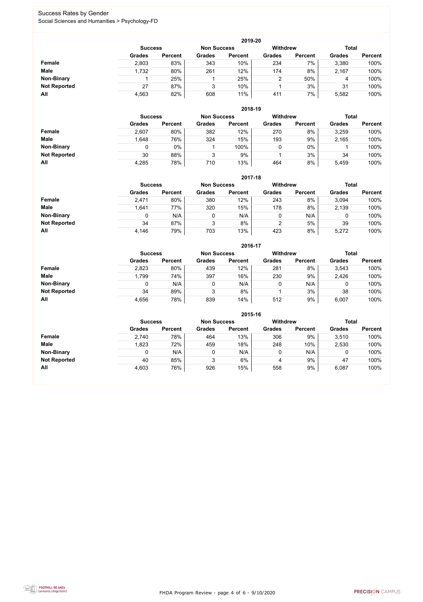FHDA Program Review - page 4 of 6 - 9/10/2020



### Success Rates by Gender Social Sciences and Humanities > Psychology-FD

|                     |                | 2019-20        |                    |                |                 |                |               |                |  |  |  |  |  |  |
|---------------------|----------------|----------------|--------------------|----------------|-----------------|----------------|---------------|----------------|--|--|--|--|--|--|
|                     | <b>Success</b> |                | <b>Non Success</b> |                | <b>Withdrew</b> |                | <b>Total</b>  |                |  |  |  |  |  |  |
|                     | <b>Grades</b>  | <b>Percent</b> | <b>Grades</b>      | <b>Percent</b> | <b>Grades</b>   | <b>Percent</b> | <b>Grades</b> | <b>Percent</b> |  |  |  |  |  |  |
| <b>Female</b>       | 2,803          | 83%            | 343                | 10%            | 234             | 7%             | 3,380         | 100%           |  |  |  |  |  |  |
| <b>Male</b>         | 1,732          | 80%            | 261                | 12%            | 174             | 8%             | 2,167         | 100%           |  |  |  |  |  |  |
| <b>Non-Binary</b>   |                | 25%            |                    | 25%            | 2               | 50%            | 4             | 100%           |  |  |  |  |  |  |
| <b>Not Reported</b> | 27             | 87%            | 3                  | 10%            |                 | 3%             | 31            | 100%           |  |  |  |  |  |  |
| All                 | 4,563          | 82%            | 608                | 11%            | 411             | 7%             | 5,582         | 100%           |  |  |  |  |  |  |

|                     | 2018-19       |                                      |               |                |               |                 |               |                |  |  |  |  |  |
|---------------------|---------------|--------------------------------------|---------------|----------------|---------------|-----------------|---------------|----------------|--|--|--|--|--|
|                     |               | <b>Non Success</b><br><b>Success</b> |               |                |               | <b>Withdrew</b> | <b>Total</b>  |                |  |  |  |  |  |
|                     | <b>Grades</b> | <b>Percent</b>                       | <b>Grades</b> | <b>Percent</b> | <b>Grades</b> | <b>Percent</b>  | <b>Grades</b> | <b>Percent</b> |  |  |  |  |  |
| Female              | 2,607         | 80%                                  | 382           | 12%            | 270           | 8%              | 3,259         | 100%           |  |  |  |  |  |
| <b>Male</b>         | 1,648         | 76%                                  | 324           | 15%            | 193           | 9%              | 2,165         | 100%           |  |  |  |  |  |
| <b>Non-Binary</b>   | 0             | 0%                                   |               | 100%           | υ             | $0\%$           |               | 100%           |  |  |  |  |  |
| <b>Not Reported</b> | 30            | 88%                                  | 3             | 9%             |               | 3%              | 34            | 100%           |  |  |  |  |  |
| All                 | 4,285         | 78%                                  | 710           | 13%            | 464           | 8%              | 5,459         | 100%           |  |  |  |  |  |

|                     |               | 2017-18                                                                 |               |                |               |                |               |                |  |  |  |  |  |
|---------------------|---------------|-------------------------------------------------------------------------|---------------|----------------|---------------|----------------|---------------|----------------|--|--|--|--|--|
|                     |               | <b>Withdrew</b><br><b>Total</b><br><b>Non Success</b><br><b>Success</b> |               |                |               |                |               |                |  |  |  |  |  |
|                     | <b>Grades</b> | <b>Percent</b>                                                          | <b>Grades</b> | <b>Percent</b> | <b>Grades</b> | <b>Percent</b> | <b>Grades</b> | <b>Percent</b> |  |  |  |  |  |
| <b>Female</b>       | 2,471         | 80%                                                                     | 380           | 12%            | 243           | 8%             | 3,094         | 100%           |  |  |  |  |  |
| <b>Male</b>         | 1,641         | 77%                                                                     | 320           | 15%            | 178           | 8%             | 2,139         | 100%           |  |  |  |  |  |
| <b>Non-Binary</b>   | 0             | N/A                                                                     |               | N/A            | 0             | N/A            | 0             | 100%           |  |  |  |  |  |
| <b>Not Reported</b> | 34            | 87%                                                                     | 3             | 8%             | 2             | 5%             | 39            | 100%           |  |  |  |  |  |
| All                 | 4,146         | 79%                                                                     | 703           | 13%            | 423           | 8%             | 5,272         | 100%           |  |  |  |  |  |

|                     |               | 2016-17        |               |                |                 |                |               |                |  |  |
|---------------------|---------------|----------------|---------------|----------------|-----------------|----------------|---------------|----------------|--|--|
|                     |               | <b>Success</b> |               |                | <b>Withdrew</b> |                | <b>Total</b>  |                |  |  |
|                     | <b>Grades</b> | <b>Percent</b> | <b>Grades</b> | <b>Percent</b> | <b>Grades</b>   | <b>Percent</b> | <b>Grades</b> | <b>Percent</b> |  |  |
| <b>Female</b>       | 2,823         | 80%            | 439           | 12%            | 281             | 8%             | 3,543         | 100%           |  |  |
| <b>Male</b>         | 1,799         | 74%            | 397           | 16%            | 230             | 9%             | 2,426         | 100%           |  |  |
| <b>Non-Binary</b>   | 0             | N/A            | 0             | N/A            | 0               | N/A            | 0             | 100%           |  |  |
| <b>Not Reported</b> | 34            | 89%            | 3             | 8%             |                 | 3%             | 38            | 100%           |  |  |
| All                 | 4,656         | 78%            | 839           | 14%            | 512             | 9%             | 6,007         | 100%           |  |  |

|                     |                                      | 2015-16        |               |                |                 |                |               |                |  |  |  |
|---------------------|--------------------------------------|----------------|---------------|----------------|-----------------|----------------|---------------|----------------|--|--|--|
|                     | <b>Non Success</b><br><b>Success</b> |                |               |                | <b>Withdrew</b> |                | <b>Total</b>  |                |  |  |  |
|                     | <b>Grades</b>                        | <b>Percent</b> | <b>Grades</b> | <b>Percent</b> | <b>Grades</b>   | <b>Percent</b> | <b>Grades</b> | <b>Percent</b> |  |  |  |
| Female              | 2,740                                | 78%            | 464           | 13%            | 306             | 9%             | 3,510         | 100%           |  |  |  |
| <b>Male</b>         | 1,823                                | 72%            | 459           | 18%            | 248             | 10%            | 2,530         | 100%           |  |  |  |
| <b>Non-Binary</b>   |                                      | N/A            | 0             | N/A            |                 | N/A            | 0             | 100%           |  |  |  |
| <b>Not Reported</b> | 40                                   | 85%            | 3             | 6%             | 4               | 9%             | 47            | 100%           |  |  |  |
| All                 | 4,603                                | 76%            | 926           | 15%            | 558             | 9%             | 6,087         | 100%           |  |  |  |

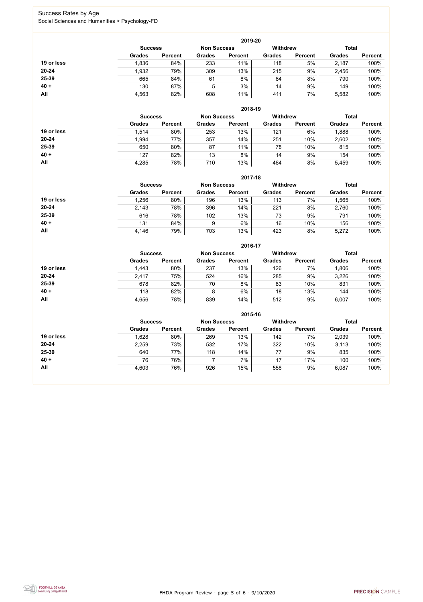FHDA Program Review - page 5 of 6 - 9/10/2020



### Success Rates by Age Social Sciences and Humanities > Psychology-FD

|            | 2019-20        |                    |               |                 |               |                |               |                |  |  |
|------------|----------------|--------------------|---------------|-----------------|---------------|----------------|---------------|----------------|--|--|
|            | <b>Success</b> | <b>Non Success</b> |               | <b>Withdrew</b> |               | <b>Total</b>   |               |                |  |  |
|            | <b>Grades</b>  | <b>Percent</b>     | <b>Grades</b> | <b>Percent</b>  | <b>Grades</b> | <b>Percent</b> | <b>Grades</b> | <b>Percent</b> |  |  |
| 19 or less | 1,836          | 84%                | 233           | 11%             | 118           | 5%             | 2,187         | 100%           |  |  |
| $20 - 24$  | 1,932          | 79%                | 309           | 13%             | 215           | 9%             | 2,456         | 100%           |  |  |
| 25-39      | 665            | 84%                | 61            | 8%              | 64            | 8%             | 790           | 100%           |  |  |
| $40 +$     | 130            | 87%                | 5             | 3%              | 14            | 9%             | 149           | 100%           |  |  |
| All        | 4,563          | 82%                | 608           | 11%             | 411           | 7%             | 5,582         | 100%           |  |  |

|            |                |                    |               | 2018-19         |               |                |               |                |
|------------|----------------|--------------------|---------------|-----------------|---------------|----------------|---------------|----------------|
|            | <b>Success</b> | <b>Non Success</b> |               | <b>Withdrew</b> |               | <b>Total</b>   |               |                |
|            | <b>Grades</b>  | <b>Percent</b>     | <b>Grades</b> | <b>Percent</b>  | <b>Grades</b> | <b>Percent</b> | <b>Grades</b> | <b>Percent</b> |
| 19 or less | 1,514          | 80%                | 253           | 13%             | 121           | 6%             | 1,888         | 100%           |
| $20 - 24$  | 1,994          | 77%                | 357           | 14%             | 251           | 10%            | 2,602         | 100%           |
| 25-39      | 650            | 80%                | 87            | 11%             | 78            | 10%            | 815           | 100%           |
| $40 +$     | 127            | 82%                | 13            | 8%              | 14            | 9%             | 154           | 100%           |
| All        | 4,285          | 78%                | 710           | 13%             | 464           | 8%             | 5,459         | 100%           |

|            |                                      |                |               | 2017-18        |                 |                |               |                |
|------------|--------------------------------------|----------------|---------------|----------------|-----------------|----------------|---------------|----------------|
|            | <b>Non Success</b><br><b>Success</b> |                |               |                | <b>Withdrew</b> |                | <b>Total</b>  |                |
|            | <b>Grades</b>                        | <b>Percent</b> | <b>Grades</b> | <b>Percent</b> | <b>Grades</b>   | <b>Percent</b> | <b>Grades</b> | <b>Percent</b> |
| 19 or less | 1,256                                | 80%            | 196           | 13%            | 113             | 7%             | 1,565         | 100%           |
| $20 - 24$  | 2,143                                | 78%            | 396           | 14%            | 221             | 8%             | 2,760         | 100%           |
| 25-39      | 616                                  | 78%            | 102           | 13%            | 73              | 9%             | 791           | 100%           |
| $40 +$     | 131                                  | 84%            | 9             | 6%             | 16              | 10%            | 156           | 100%           |
| All        | 4,146                                | 79%            | 703           | 13%            | 423             | 8%             | 5,272         | 100%           |

|            |                |                    |               | 2016-17         |               |                |               |                |
|------------|----------------|--------------------|---------------|-----------------|---------------|----------------|---------------|----------------|
|            | <b>Success</b> | <b>Non Success</b> |               | <b>Withdrew</b> |               | <b>Total</b>   |               |                |
|            | <b>Grades</b>  | <b>Percent</b>     | <b>Grades</b> | <b>Percent</b>  | <b>Grades</b> | <b>Percent</b> | <b>Grades</b> | <b>Percent</b> |
| 19 or less | 1,443          | 80%                | 237           | 13%             | 126           | 7%             | 1,806         | 100%           |
| $20 - 24$  | 2,417          | 75%                | 524           | 16%             | 285           | 9%             | 3,226         | 100%           |
| 25-39      | 678            | 82%                | 70            | 8%              | 83            | 10%            | 831           | 100%           |
| $40 +$     | 118            | 82%                | 8             | 6%              | 18            | 13%            | 144           | 100%           |
| All        | 4,656          | 78%                | 839           | 14%             | 512           | 9%             | 6,007         | 100%           |

|            |                                      |                |               | 2015-16        |                 |                |               |                |
|------------|--------------------------------------|----------------|---------------|----------------|-----------------|----------------|---------------|----------------|
|            | <b>Non Success</b><br><b>Success</b> |                |               |                | <b>Withdrew</b> |                | <b>Total</b>  |                |
|            | <b>Grades</b>                        | <b>Percent</b> | <b>Grades</b> | <b>Percent</b> | <b>Grades</b>   | <b>Percent</b> | <b>Grades</b> | <b>Percent</b> |
| 19 or less | 1,628                                | 80%            | 269           | 13%            | 142             | 7%             | 2,039         | 100%           |
| $20 - 24$  | 2,259                                | 73%            | 532           | 17%            | 322             | 10%            | 3,113         | 100%           |
| 25-39      | 640                                  | 77%            | 118           | 14%            | 77              | 9%             | 835           | 100%           |
| $40 +$     | 76                                   | 76%            |               | 7%             | 17              | 17%            | 100           | 100%           |
| All        | 4,603                                | 76%            | 926           | 15%            | 558             | 9%             | 6,087         | 100%           |